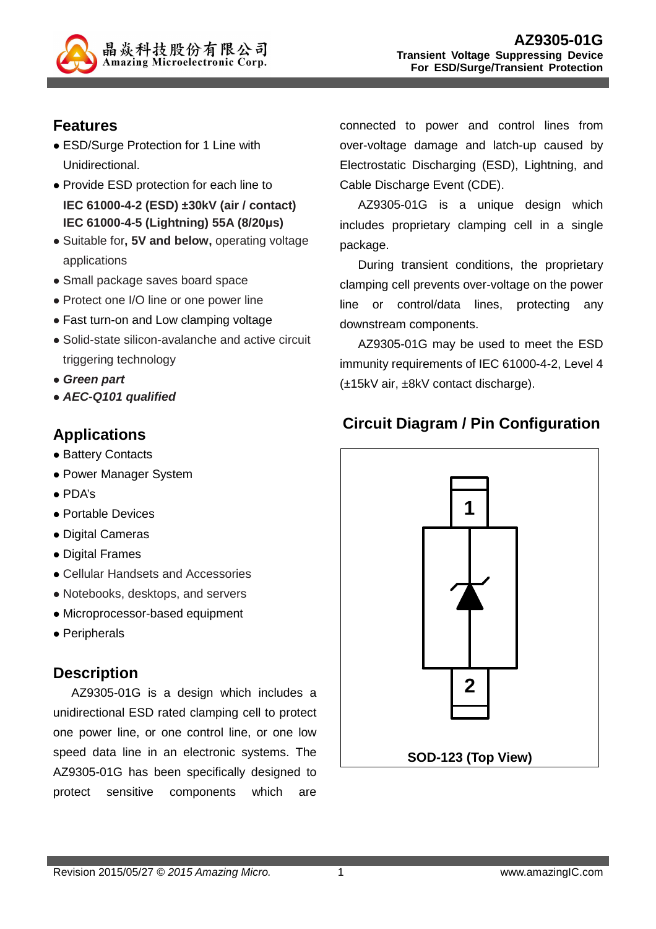

## **Features**

- ESD/Surge Protection for 1 Line with Unidirectional.
- Provide ESD protection for each line to **IEC 61000-4-2 (ESD) ±30kV (air / contact) IEC 61000-4-5 (Lightning) 55A (8/20µs)**
- Suitable for**, 5V and below,** operating voltage applications
- Small package saves board space
- Protect one I/O line or one power line
- Fast turn-on and Low clamping voltage
- Solid-state silicon-avalanche and active circuit triggering technology
- **Green part**
- **AEC-Q101 qualified**

## **Applications**

- Battery Contacts
- Power Manager System
- PDA's
- Portable Devices
- Digital Cameras
- Digital Frames
- Cellular Handsets and Accessories
- Notebooks, desktops, and servers
- Microprocessor-based equipment
- Peripherals

## **Description**

AZ9305-01G is a design which includes a unidirectional ESD rated clamping cell to protect one power line, or one control line, or one low speed data line in an electronic systems. The AZ9305-01G has been specifically designed to protect sensitive components which are

connected to power and control lines from over-voltage damage and latch-up caused by Electrostatic Discharging (ESD), Lightning, and Cable Discharge Event (CDE).

AZ9305-01G is a unique design which includes proprietary clamping cell in a single package.

During transient conditions, the proprietary clamping cell prevents over-voltage on the power line or control/data lines, protecting any downstream components.

AZ9305-01G may be used to meet the ESD immunity requirements of IEC 61000-4-2, Level 4 (±15kV air, ±8kV contact discharge).

# **Circuit Diagram / Pin Configuration**

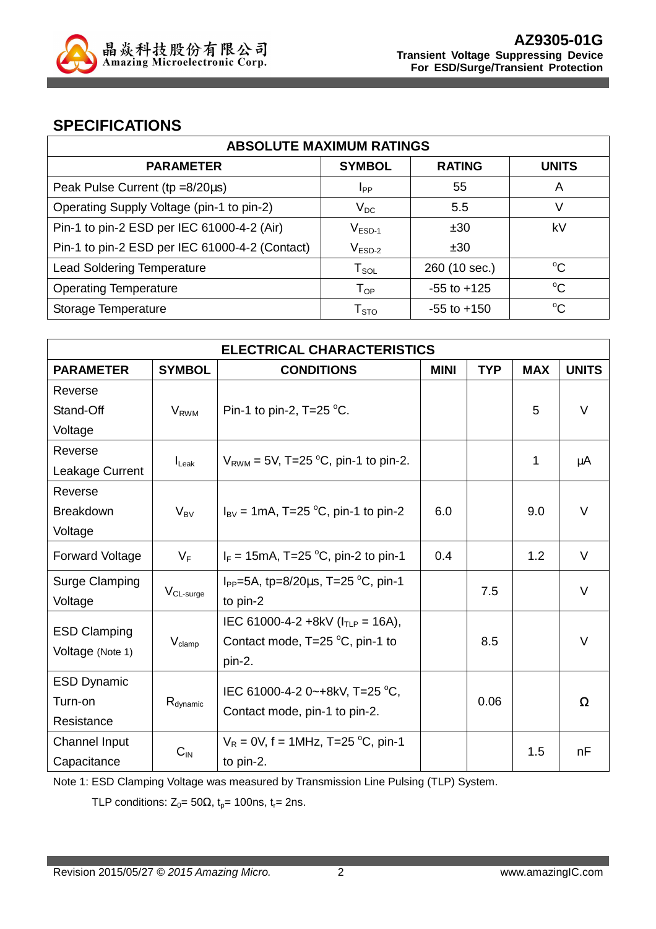

## **SPECIFICATIONS**

| <b>ABSOLUTE MAXIMUM RATINGS</b>                |                        |                 |              |
|------------------------------------------------|------------------------|-----------------|--------------|
| <b>PARAMETER</b>                               | <b>SYMBOL</b>          | <b>RATING</b>   | <b>UNITS</b> |
| Peak Pulse Current (tp =8/20µs)                | <b>I</b> <sub>PP</sub> | 55              | A            |
| Operating Supply Voltage (pin-1 to pin-2)      | $V_{DC}$               | 5.5             | V            |
| Pin-1 to pin-2 ESD per IEC 61000-4-2 (Air)     | $V_{ESD-1}$            | ±30             | kV           |
| Pin-1 to pin-2 ESD per IEC 61000-4-2 (Contact) | $V_{ESD-2}$            | ±30             |              |
| <b>Lead Soldering Temperature</b>              | $T_{\texttt{SOL}}$     | 260 (10 sec.)   | $^{\circ}C$  |
| <b>Operating Temperature</b>                   | $T_{OP}$               | $-55$ to $+125$ | $^{\circ}C$  |
| Storage Temperature                            | ${\sf T}_{\text{STO}}$ | $-55$ to $+150$ | $^{\circ}C$  |

| <b>ELECTRICAL CHARACTERISTICS</b> |                                       |                                                                |             |            |            |              |
|-----------------------------------|---------------------------------------|----------------------------------------------------------------|-------------|------------|------------|--------------|
| <b>PARAMETER</b>                  | <b>SYMBOL</b>                         | <b>CONDITIONS</b>                                              | <b>MINI</b> | <b>TYP</b> | <b>MAX</b> | <b>UNITS</b> |
| Reverse                           |                                       |                                                                |             |            |            |              |
| Stand-Off                         | <b>V</b> <sub>RWM</sub>               | Pin-1 to pin-2, $T=25$ °C.                                     |             |            | 5          | $\vee$       |
| Voltage                           |                                       |                                                                |             |            |            |              |
| Reverse                           |                                       |                                                                |             |            | 1          |              |
| Leakage Current                   | $I_{\text{L}eak}$                     | $V_{RWM}$ = 5V, T=25 °C, pin-1 to pin-2.                       |             |            |            | μA           |
| Reverse                           |                                       |                                                                |             |            |            |              |
| <b>Breakdown</b>                  | $V_{BV}$                              | $I_{BV}$ = 1mA, T=25 °C, pin-1 to pin-2                        | 6.0         |            | 9.0        | $\vee$       |
| Voltage                           |                                       |                                                                |             |            |            |              |
| <b>Forward Voltage</b>            | $V_F$                                 | $I_F = 15 \text{mA}, T = 25 \text{ °C}, \text{pin-2 to pin-1}$ | 0.4         |            | 1.2        | $\vee$       |
| Surge Clamping                    |                                       | $I_{PP}$ =5A, tp=8/20 $\mu$ s, T=25 °C, pin-1                  |             | 7.5        |            | V            |
| Voltage                           | $V_{CL-surge}$                        | to pin-2                                                       |             |            |            |              |
| <b>ESD Clamping</b>               |                                       | IEC 61000-4-2 +8kV ( $ITIP = 16A$ ),                           |             |            |            |              |
|                                   | $V_{\text{clamp}}$                    | Contact mode, $T=25\text{ °C}$ , pin-1 to                      |             | 8.5        |            | $\vee$       |
| Voltage (Note 1)                  |                                       | pin-2.                                                         |             |            |            |              |
| <b>ESD Dynamic</b>                |                                       | IEC 61000-4-2 0~+8kV, T=25 °C,                                 |             |            |            |              |
| Turn-on                           | $R_{\text{dynamic}}$                  |                                                                |             | 0.06       |            | Ω            |
| Resistance                        |                                       | Contact mode, pin-1 to pin-2.                                  |             |            |            |              |
| Channel Input                     | $V_R = 0V$ , f = 1MHz, T=25 °C, pin-1 |                                                                |             |            | 1.5        | nF           |
| Capacitance                       | $C_{\text{IN}}$                       | to pin-2.                                                      |             |            |            |              |

Note 1: ESD Clamping Voltage was measured by Transmission Line Pulsing (TLP) System.

TLP conditions:  $Z_0 = 50\Omega$ ,  $t_0 = 100$ ns,  $t_r = 2$ ns.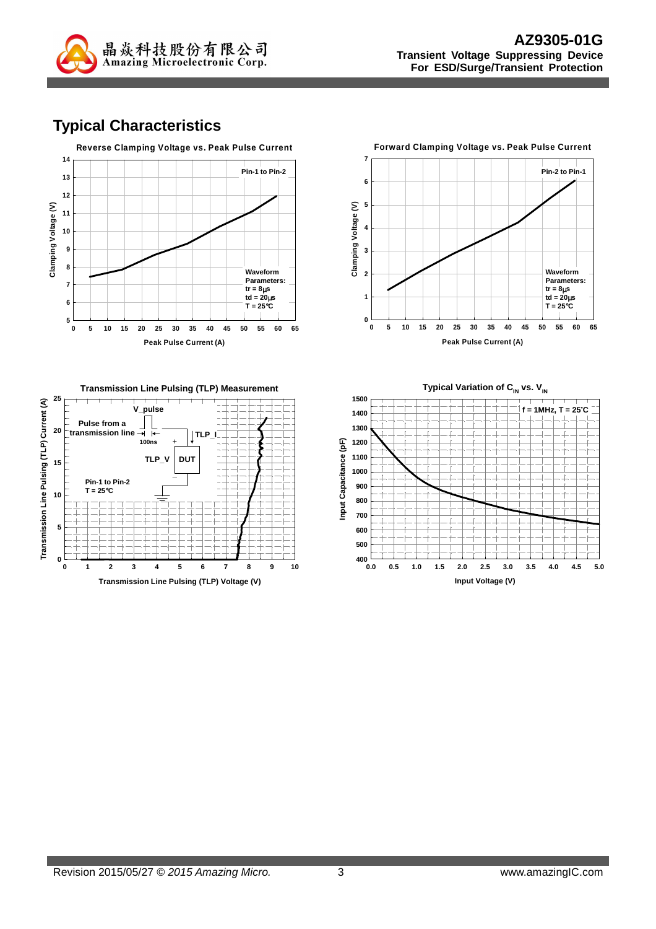

# **Typical Characteristics**



**Forward Clamping Voltage vs. Peak Pulse Current 7 Pin-2 to Pin-1 6 5** Clamping Voltage (V) **Clamping Voltage (V) 4 3 Waveform 2 Parameters: tr = 8**µ**s 1**  $\frac{1}{6}$  td = 20 $\mu$ s **T = 25**°**C**  $\frac{1}{\mathbf{0}}$ **0 5 10 15 20 25 30 35 40 45 50 55 60 65**

**Peak Pulse Current (A)**



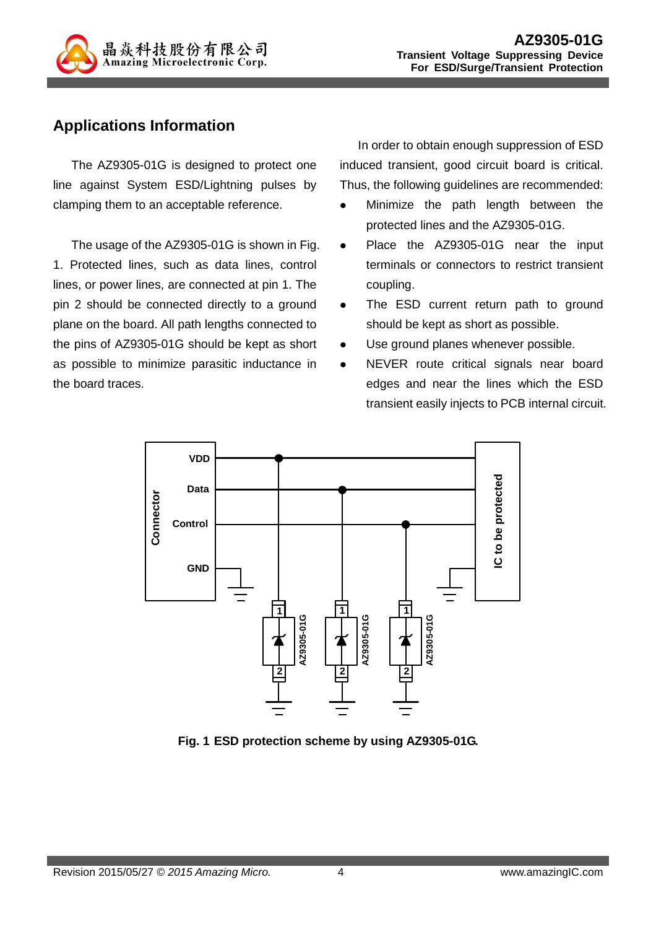

## **Applications Information**

The AZ9305-01G is designed to protect one line against System ESD/Lightning pulses by clamping them to an acceptable reference.

The usage of the AZ9305-01G is shown in Fig. 1. Protected lines, such as data lines, control lines, or power lines, are connected at pin 1. The pin 2 should be connected directly to a ground plane on the board. All path lengths connected to the pins of AZ9305-01G should be kept as short as possible to minimize parasitic inductance in the board traces.

In order to obtain enough suppression of ESD induced transient, good circuit board is critical. Thus, the following guidelines are recommended:

- Minimize the path length between the protected lines and the AZ9305-01G.
- Place the AZ9305-01G near the input terminals or connectors to restrict transient coupling.
- The ESD current return path to ground should be kept as short as possible.
- Use ground planes whenever possible.
- NEVER route critical signals near board edges and near the lines which the ESD transient easily injects to PCB internal circuit.



**Fig. 1 ESD protection scheme by using AZ9305-01G.**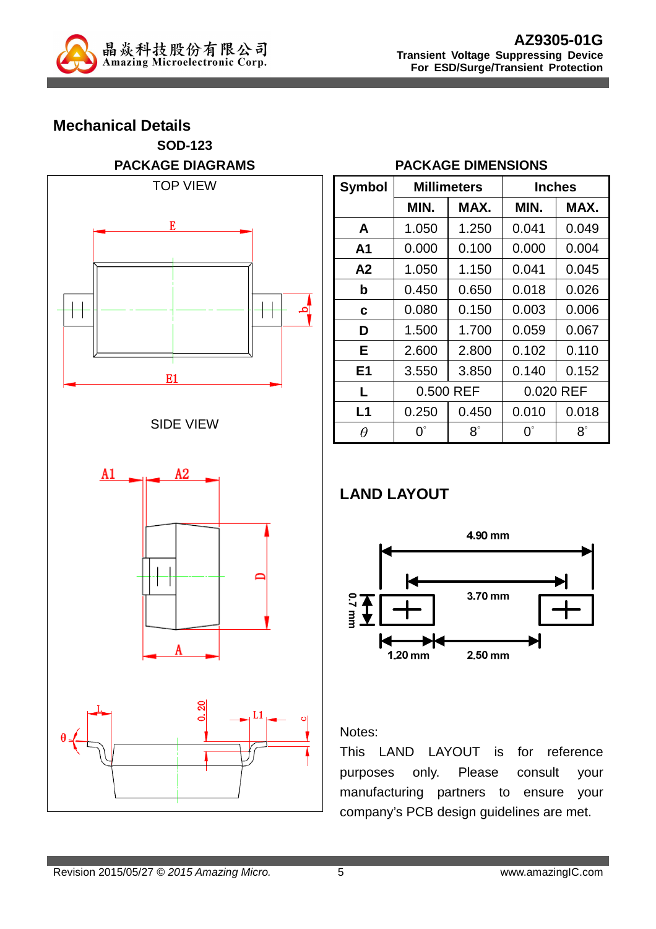

# **Mechanical Details SOD-123 PACKAGE DIAGRAMS**  TOP VIEW E







#### **PACKAGE DIMENSIONS**

| <b>Symbol</b>  |             | <b>Millimeters</b> |             | <b>Inches</b> |  |  |
|----------------|-------------|--------------------|-------------|---------------|--|--|
|                | MIN.        | MAX.               | MIN.        | MAX.          |  |  |
| A              | 1.050       | 1.250              | 0.041       | 0.049         |  |  |
| A1             | 0.000       | 0.100              | 0.000       | 0.004         |  |  |
| A2             | 1.050       | 1.150              | 0.041       | 0.045         |  |  |
| b              | 0.450       | 0.650              | 0.018       | 0.026         |  |  |
| C              | 0.080       | 0.150              | 0.003       | 0.006         |  |  |
| D              | 1.500       | 1.700              | 0.059       | 0.067         |  |  |
| Е              | 2.600       | 2.800              | 0.102       | 0.110         |  |  |
| E <sub>1</sub> | 3.550       | 3.850              | 0.140       | 0.152         |  |  |
| L              | 0.500 REF   |                    | 0.020 REF   |               |  |  |
| L1             | 0.250       | 0.450              | 0.010       | 0.018         |  |  |
| $\theta$       | $0^{\circ}$ | $8^\circ$          | $0^{\circ}$ | $8^\circ$     |  |  |

# **LAND LAYOUT**



### Notes:

This LAND LAYOUT is for reference purposes only. Please consult your manufacturing partners to ensure your company's PCB design guidelines are met.